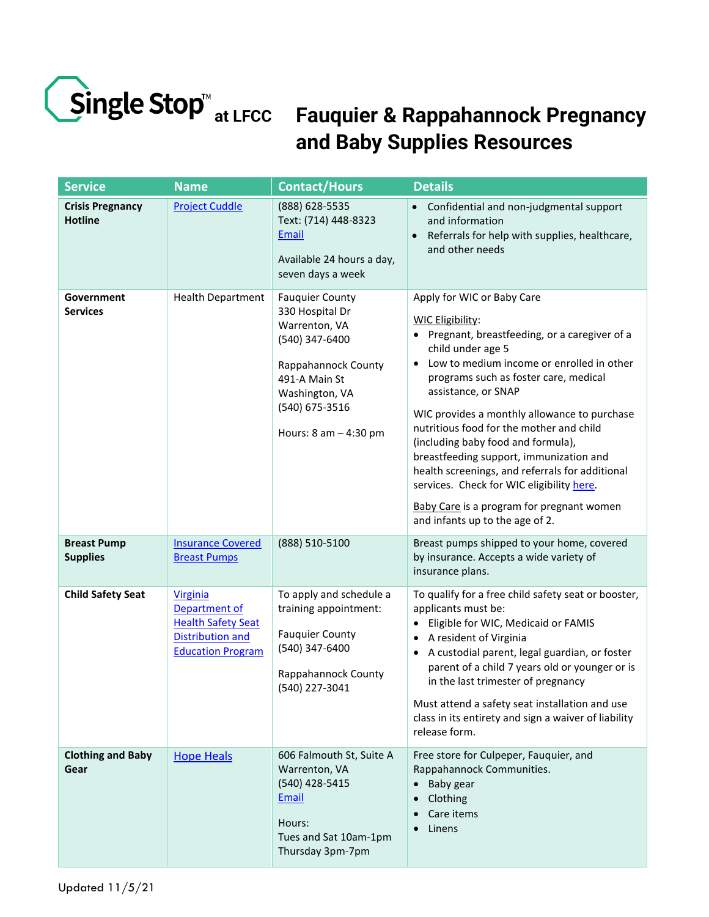

## **Fauquier & Rappahannock Pregnancy at LFCC and Baby Supplies Resources**

| <b>Service</b>                            | <b>Name</b>                                                                                                          | <b>Contact/Hours</b>                                                                                                                                                                  | <b>Details</b>                                                                                                                                                                                                                                                                                                                                                                                                                                                                                                                                                                                         |
|-------------------------------------------|----------------------------------------------------------------------------------------------------------------------|---------------------------------------------------------------------------------------------------------------------------------------------------------------------------------------|--------------------------------------------------------------------------------------------------------------------------------------------------------------------------------------------------------------------------------------------------------------------------------------------------------------------------------------------------------------------------------------------------------------------------------------------------------------------------------------------------------------------------------------------------------------------------------------------------------|
| <b>Crisis Pregnancy</b><br><b>Hotline</b> | <b>Project Cuddle</b>                                                                                                | (888) 628-5535<br>Text: (714) 448-8323<br>Email<br>Available 24 hours a day,<br>seven days a week                                                                                     | • Confidential and non-judgmental support<br>and information<br>Referrals for help with supplies, healthcare,<br>and other needs                                                                                                                                                                                                                                                                                                                                                                                                                                                                       |
| Government<br><b>Services</b>             | <b>Health Department</b>                                                                                             | <b>Fauquier County</b><br>330 Hospital Dr<br>Warrenton, VA<br>(540) 347-6400<br>Rappahannock County<br>491-A Main St<br>Washington, VA<br>(540) 675-3516<br>Hours: $8$ am $-$ 4:30 pm | Apply for WIC or Baby Care<br><b>WIC Eligibility:</b><br>• Pregnant, breastfeeding, or a caregiver of a<br>child under age 5<br>Low to medium income or enrolled in other<br>programs such as foster care, medical<br>assistance, or SNAP<br>WIC provides a monthly allowance to purchase<br>nutritious food for the mother and child<br>(including baby food and formula),<br>breastfeeding support, immunization and<br>health screenings, and referrals for additional<br>services. Check for WIC eligibility here.<br>Baby Care is a program for pregnant women<br>and infants up to the age of 2. |
| <b>Breast Pump</b><br><b>Supplies</b>     | <b>Insurance Covered</b><br><b>Breast Pumps</b>                                                                      | (888) 510-5100                                                                                                                                                                        | Breast pumps shipped to your home, covered<br>by insurance. Accepts a wide variety of<br>insurance plans.                                                                                                                                                                                                                                                                                                                                                                                                                                                                                              |
| <b>Child Safety Seat</b>                  | <b>Virginia</b><br>Department of<br><b>Health Safety Seat</b><br><b>Distribution and</b><br><b>Education Program</b> | To apply and schedule a<br>training appointment:<br><b>Fauquier County</b><br>(540) 347-6400<br>Rappahannock County<br>(540) 227-3041                                                 | To qualify for a free child safety seat or booster,<br>applicants must be:<br>Eligible for WIC, Medicaid or FAMIS<br>$\bullet$<br>A resident of Virginia<br>A custodial parent, legal guardian, or foster<br>$\bullet$<br>parent of a child 7 years old or younger or is<br>in the last trimester of pregnancy<br>Must attend a safety seat installation and use<br>class in its entirety and sign a waiver of liability<br>release form.                                                                                                                                                              |
| <b>Clothing and Baby</b><br>Gear          | <b>Hope Heals</b>                                                                                                    | 606 Falmouth St, Suite A<br>Warrenton, VA<br>(540) 428-5415<br>Email<br>Hours:<br>Tues and Sat 10am-1pm<br>Thursday 3pm-7pm                                                           | Free store for Culpeper, Fauquier, and<br>Rappahannock Communities.<br>Baby gear<br>$\bullet$<br>Clothing<br>Care items<br>Linens<br>$\bullet$                                                                                                                                                                                                                                                                                                                                                                                                                                                         |